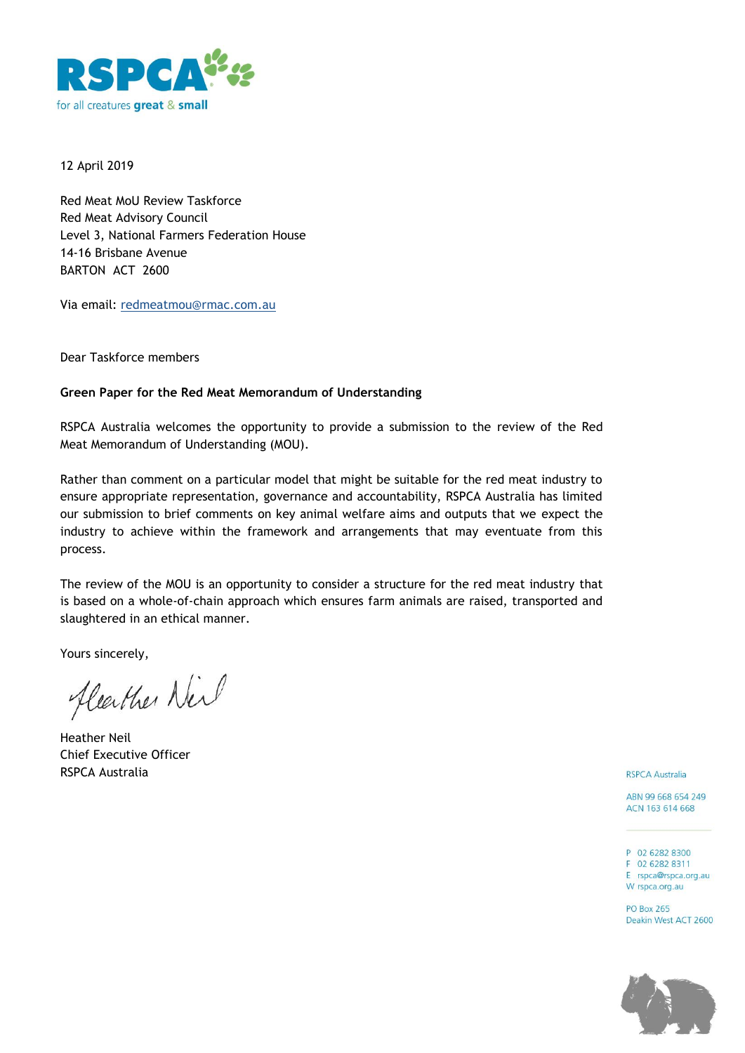

12 April 2019

Red Meat MoU Review Taskforce Red Meat Advisory Council Level 3, National Farmers Federation House 14-16 Brisbane Avenue BARTON ACT 2600

Via email: redmeatmou@rmac.com.au

Dear Taskforce members

## **Green Paper for the Red Meat Memorandum of Understanding**

RSPCA Australia welcomes the opportunity to provide a submission to the review of the Red Meat Memorandum of Understanding (MOU).

Rather than comment on a particular model that might be suitable for the red meat industry to ensure appropriate representation, governance and accountability, RSPCA Australia has limited our submission to brief comments on key animal welfare aims and outputs that we expect the industry to achieve within the framework and arrangements that may eventuate from this process.

The review of the MOU is an opportunity to consider a structure for the red meat industry that is based on a whole-of-chain approach which ensures farm animals are raised, transported and slaughtered in an ethical manner.

Yours sincerely,

fleather Neil

Heather Neil Chief Executive Officer RSPCA Australia

**RSPCA Australia** 

ABN 99 668 654 249 ACN 163 614 668

P 02 6282 8300 F 02 6282 8311 E rspca@rspca.org.au W rspca.org.au

**PO Box 265** Deakin West ACT 2600

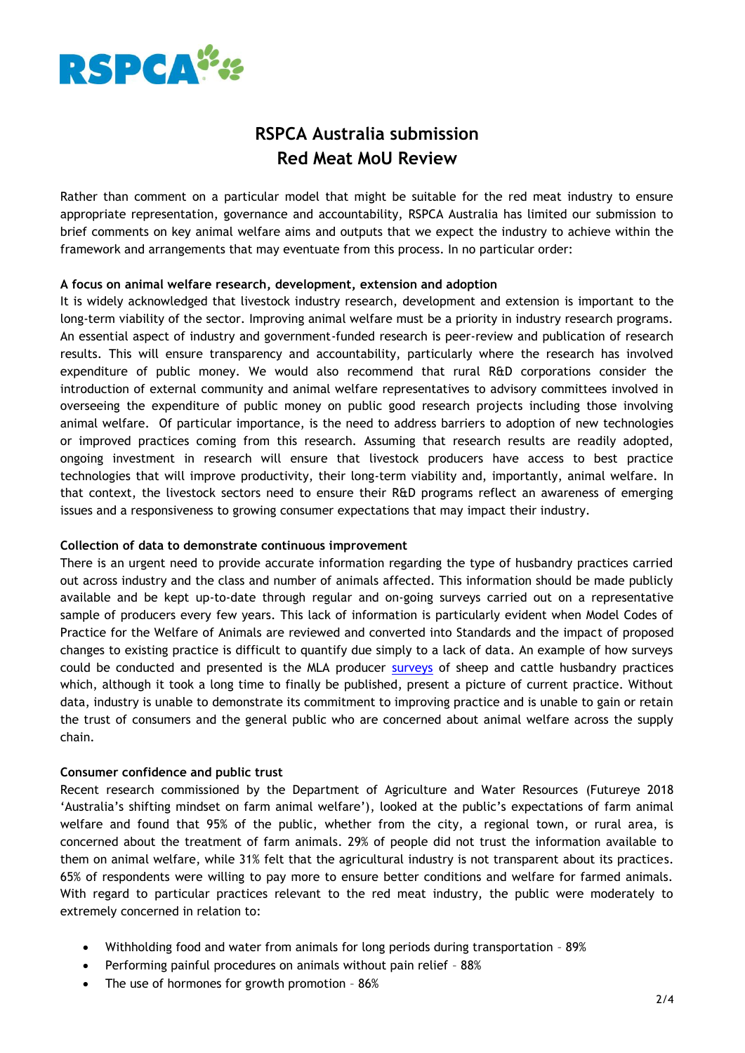

# **RSPCA Australia submission Red Meat MoU Review**

Rather than comment on a particular model that might be suitable for the red meat industry to ensure appropriate representation, governance and accountability, RSPCA Australia has limited our submission to brief comments on key animal welfare aims and outputs that we expect the industry to achieve within the framework and arrangements that may eventuate from this process. In no particular order:

## **A focus on animal welfare research, development, extension and adoption**

It is widely acknowledged that livestock industry research, development and extension is important to the long-term viability of the sector. Improving animal welfare must be a priority in industry research programs. An essential aspect of industry and government-funded research is peer-review and publication of research results. This will ensure transparency and accountability, particularly where the research has involved expenditure of public money. We would also recommend that rural R&D corporations consider the introduction of external community and animal welfare representatives to advisory committees involved in overseeing the expenditure of public money on public good research projects including those involving animal welfare. Of particular importance, is the need to address barriers to adoption of new technologies or improved practices coming from this research. Assuming that research results are readily adopted, ongoing investment in research will ensure that livestock producers have access to best practice technologies that will improve productivity, their long-term viability and, importantly, animal welfare. In that context, the livestock sectors need to ensure their R&D programs reflect an awareness of emerging issues and a responsiveness to growing consumer expectations that may impact their industry.

## **Collection of data to demonstrate continuous improvement**

There is an urgent need to provide accurate information regarding the type of husbandry practices carried out across industry and the class and number of animals affected. This information should be made publicly available and be kept up-to-date through regular and on-going surveys carried out on a representative sample of producers every few years. This lack of information is particularly evident when Model Codes of Practice for the Welfare of Animals are reviewed and converted into Standards and the impact of proposed changes to existing practice is difficult to quantify due simply to a lack of data. An example of how surveys could be conducted and presented is the MLA producer [surveys](https://www.mla.com.au/research-and-development/search-rd-reports/final-report-details/A-national-producer-survey-of-sheep-and-cattle-husbandry-practices/3709) of sheep and cattle husbandry practices which, although it took a long time to finally be published, present a picture of current practice. Without data, industry is unable to demonstrate its commitment to improving practice and is unable to gain or retain the trust of consumers and the general public who are concerned about animal welfare across the supply chain.

## **Consumer confidence and public trust**

Recent research commissioned by the Department of Agriculture and Water Resources (Futureye 2018 'Australia's shifting mindset on farm animal welfare'), looked at the public's expectations of farm animal welfare and found that 95% of the public, whether from the city, a regional town, or rural area, is concerned about the treatment of farm animals. 29% of people did not trust the information available to them on animal welfare, while 31% felt that the agricultural industry is not transparent about its practices. 65% of respondents were willing to pay more to ensure better conditions and welfare for farmed animals. With regard to particular practices relevant to the red meat industry, the public were moderately to extremely concerned in relation to:

- Withholding food and water from animals for long periods during transportation 89%
- Performing painful procedures on animals without pain relief 88%
- The use of hormones for growth promotion 86%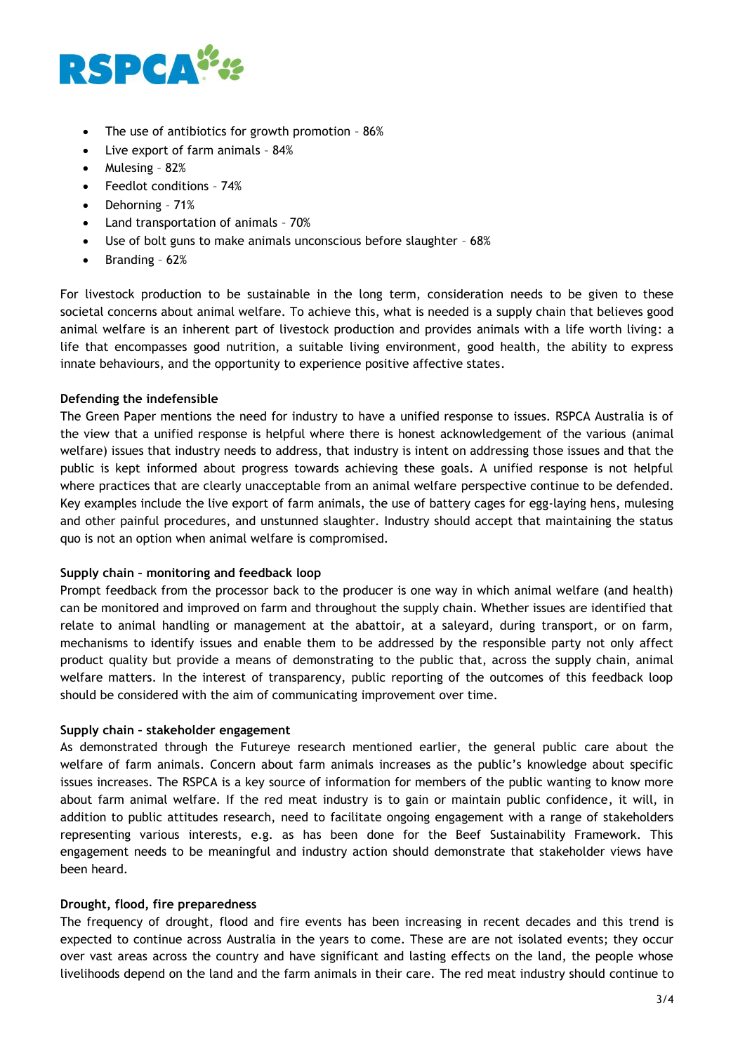

- The use of antibiotics for growth promotion 86%
- Live export of farm animals 84%
- Mulesing 82%
- Feedlot conditions 74%
- Dehorning 71%
- Land transportation of animals 70%
- Use of bolt guns to make animals unconscious before slaughter 68%
- $\bullet$  Branding 62%

For livestock production to be sustainable in the long term, consideration needs to be given to these societal concerns about animal welfare. To achieve this, what is needed is a supply chain that believes good animal welfare is an inherent part of livestock production and provides animals with a life worth living: a life that encompasses good nutrition, a suitable living environment, good health, the ability to express innate behaviours, and the opportunity to experience positive affective states.

## **Defending the indefensible**

The Green Paper mentions the need for industry to have a unified response to issues. RSPCA Australia is of the view that a unified response is helpful where there is honest acknowledgement of the various (animal welfare) issues that industry needs to address, that industry is intent on addressing those issues and that the public is kept informed about progress towards achieving these goals. A unified response is not helpful where practices that are clearly unacceptable from an animal welfare perspective continue to be defended. Key examples include the live export of farm animals, the use of battery cages for egg-laying hens, mulesing and other painful procedures, and unstunned slaughter. Industry should accept that maintaining the status quo is not an option when animal welfare is compromised.

## **Supply chain – monitoring and feedback loop**

Prompt feedback from the processor back to the producer is one way in which animal welfare (and health) can be monitored and improved on farm and throughout the supply chain. Whether issues are identified that relate to animal handling or management at the abattoir, at a saleyard, during transport, or on farm, mechanisms to identify issues and enable them to be addressed by the responsible party not only affect product quality but provide a means of demonstrating to the public that, across the supply chain, animal welfare matters. In the interest of transparency, public reporting of the outcomes of this feedback loop should be considered with the aim of communicating improvement over time.

#### **Supply chain – stakeholder engagement**

As demonstrated through the Futureye research mentioned earlier, the general public care about the welfare of farm animals. Concern about farm animals increases as the public's knowledge about specific issues increases. The RSPCA is a key source of information for members of the public wanting to know more about farm animal welfare. If the red meat industry is to gain or maintain public confidence, it will, in addition to public attitudes research, need to facilitate ongoing engagement with a range of stakeholders representing various interests, e.g. as has been done for the Beef Sustainability Framework. This engagement needs to be meaningful and industry action should demonstrate that stakeholder views have been heard.

#### **Drought, flood, fire preparedness**

The frequency of drought, flood and fire events has been increasing in recent decades and this trend is expected to continue across Australia in the years to come. These are are not isolated events; they occur over vast areas across the country and have significant and lasting effects on the land, the people whose livelihoods depend on the land and the farm animals in their care. The red meat industry should continue to